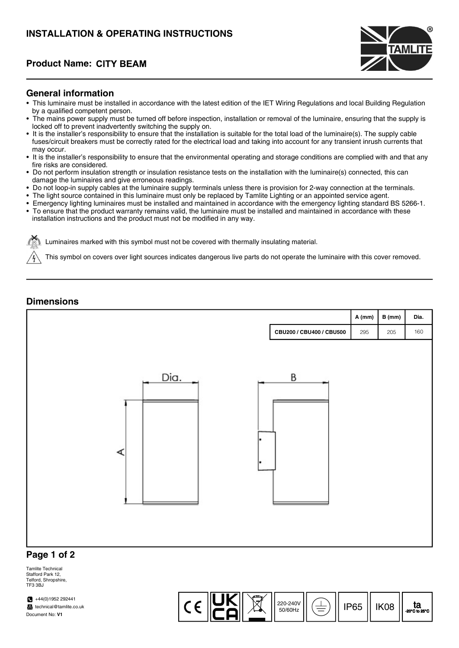# INSTALLATION & OPERATING INSTRUCTIONS

## Product Name:



### General information

- This luminaire must be installed in accordance with the latest edition of the IET Wiring Regulations and local Building Regulation by a qualified competent person.
- The mains power supply must be turned off before inspection, installation or removal of the luminaire, ensuring that the supply is locked off to prevent inadvertently switching the supply on.
- It is the installer's responsibility to ensure that the installation is suitable for the total load of the luminaire(s). The supply cable fuses/circuit breakers must be correctly rated for the electrical load and taking into account for any transient inrush currents that may occur.
- It is the installer's responsibility to ensure that the environmental operating and storage conditions are complied with and that any fire risks are considered.
- Do not perform insulation strength or insulation resistance tests on the installation with the luminaire(s) connected, this can damage the luminaires and give erroneous readings.
- Do not loop-in supply cables at the luminaire supply terminals unless there is provision for 2-way connection at the terminals.
- The light source contained in this luminaire must only be replaced by Tamlite Lighting or an appointed service agent.
- Emergency lighting luminaires must be installed and maintained in accordance with the emergency lighting standard BS 5266-1.
- To ensure that the product warranty remains valid, the luminaire must be installed and maintained in accordance with these installation instructions and the product must not be modified in any way.

Luminaires marked with his symbol must not be covered with thermally insulating material.

This symbol on covers over light sources indicates dangerous live parts do not operate the luminaire with this cover removed.

### **Dimensions**



Tamlite Technical Stafford Park 12, Telford, Shropshire, TE3 3BJ

 $+44(0)1952292441$ technical@tamlite.co.uk Document No: V1